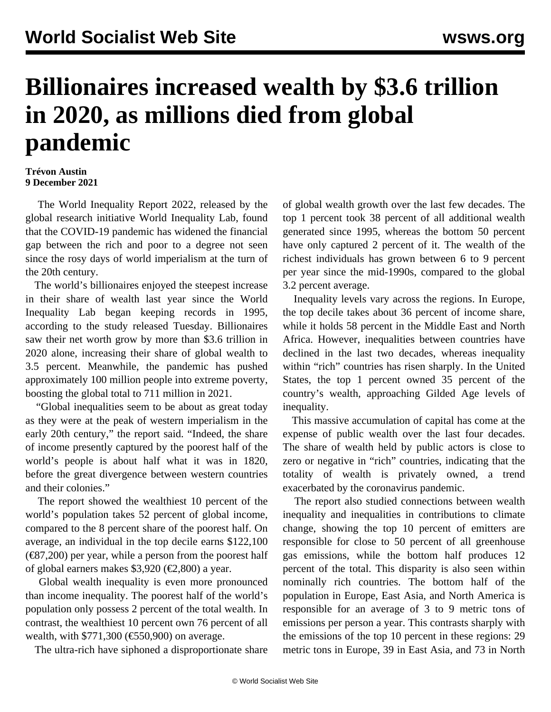## **Billionaires increased wealth by \$3.6 trillion in 2020, as millions died from global pandemic**

## **Trévon Austin 9 December 2021**

 The World Inequality Report 2022, released by the global research initiative World Inequality Lab, found that the COVID-19 pandemic has widened the financial gap between the rich and poor to a degree not seen since the rosy days of world imperialism at the turn of the 20th century.

 The world's billionaires enjoyed the steepest increase in their share of wealth last year since the World Inequality Lab began keeping records in 1995, according to the study released Tuesday. Billionaires saw their net worth grow by more than \$3.6 trillion in 2020 alone, increasing their share of global wealth to 3.5 percent. Meanwhile, the pandemic has pushed approximately 100 million people into extreme poverty, boosting the global total to 711 million in 2021.

 "Global inequalities seem to be about as great today as they were at the peak of western imperialism in the early 20th century," the report said. "Indeed, the share of income presently captured by the poorest half of the world's people is about half what it was in 1820, before the great divergence between western countries and their colonies."

 The report showed the wealthiest 10 percent of the world's population takes 52 percent of global income, compared to the 8 percent share of the poorest half. On average, an individual in the top decile earns \$122,100  $(\text{\textless}87,200)$  per year, while a person from the poorest half of global earners makes \$3,920 ( $\epsilon$ 2,800) a year.

 Global wealth inequality is even more pronounced than income inequality. The poorest half of the world's population only possess 2 percent of the total wealth. In contrast, the wealthiest 10 percent own 76 percent of all wealth, with \$771,300 (€550,900) on average.

The ultra-rich have siphoned a disproportionate share

of global wealth growth over the last few decades. The top 1 percent took 38 percent of all additional wealth generated since 1995, whereas the bottom 50 percent have only captured 2 percent of it. The wealth of the richest individuals has grown between 6 to 9 percent per year since the mid-1990s, compared to the global 3.2 percent average.

 Inequality levels vary across the regions. In Europe, the top decile takes about 36 percent of income share, while it holds 58 percent in the Middle East and North Africa. However, inequalities between countries have declined in the last two decades, whereas inequality within "rich" countries has risen sharply. In the United States, the top 1 percent owned 35 percent of the country's wealth, approaching Gilded Age levels of inequality.

 This massive accumulation of capital has come at the expense of public wealth over the last four decades. The share of wealth held by public actors is close to zero or negative in "rich" countries, indicating that the totality of wealth is privately owned, a trend exacerbated by the coronavirus pandemic.

 The report also studied connections between wealth inequality and inequalities in contributions to climate change, showing the top 10 percent of emitters are responsible for close to 50 percent of all greenhouse gas emissions, while the bottom half produces 12 percent of the total. This disparity is also seen within nominally rich countries. The bottom half of the population in Europe, East Asia, and North America is responsible for an average of 3 to 9 metric tons of emissions per person a year. This contrasts sharply with the emissions of the top 10 percent in these regions: 29 metric tons in Europe, 39 in East Asia, and 73 in North